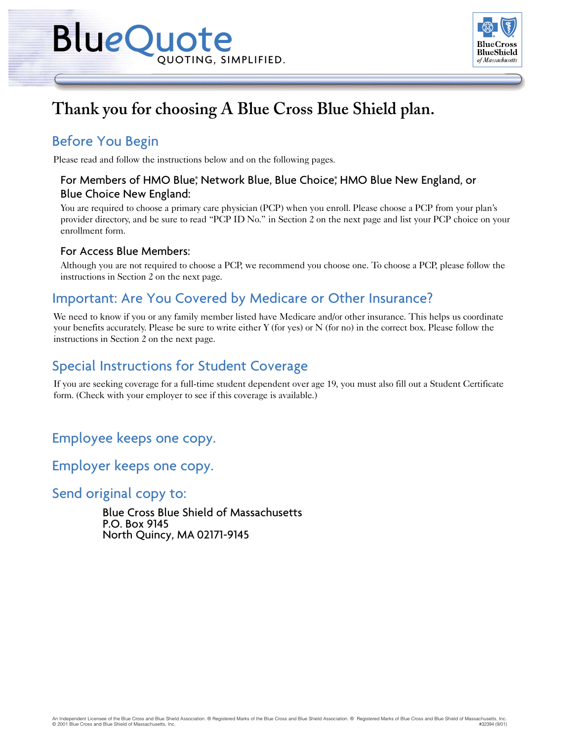

# **Thank you for choosing A Blue Cross Blue Shield plan.**

## Before You Begin

Please read and follow the instructions below and on the following pages.

## For Members of HMO Blue;ํ Network Blue, Blue Choice;ํ HMO Blue New England, or Blue Choice New England:

You are required to choose a primary care physician (PCP) when you enroll. Please choose a PCP from your plan's provider directory, and be sure to read "PCP ID No." in Section 2 on the next page and list your PCP choice on your enrollment form.

### For Access Blue Members:

Although you are not required to choose a PCP, we recommend you choose one. To choose a PCP, please follow the instructions in Section 2 on the next page.

## Important: Are You Covered by Medicare or Other Insurance?

We need to know if you or any family member listed have Medicare and/or other insurance. This helps us coordinate your benefits accurately. Please be sure to write either Y (for yes) or N (for no) in the correct box. Please follow the instructions in Section 2 on the next page.

## Special Instructions for Student Coverage

If you are seeking coverage for a full-time student dependent over age 19, you must also fill out a Student Certificate form. (Check with your employer to see if this coverage is available.)

Employee keeps one copy.

Employer keeps one copy.

Send original copy to:

Blue Cross Blue Shield of Massachusetts P.O. Box 9145 North Quincy, MA 02171-9145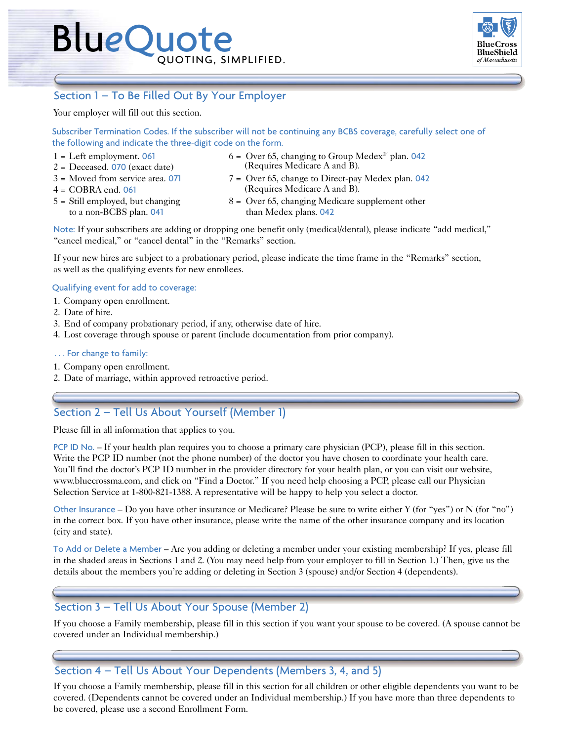

## Section 1 – To Be Filled Out By Your Employer

Your employer will fill out this section.

Subscriber Termination Codes. If the subscriber will not be continuing any BCBS coverage, carefully select one of the following and indicate the three-digit code on the form.

- 
- $2 =$  Deceased. 070 (exact date)
- 
- 4 = COBRA end. 061
- to a non-BCBS plan. 041 than Medex plans. 042
- (Requires Medicare A and B).  $1 = \text{Left employment. 061}$  6 = Over 65, changing to Group Medex<sup>®</sup> plan. 042
- (Requires Medicare A and B).  $3 =$  Moved from service area. 071  $7 =$  Over 65, change to Direct-pay Medex plan. 042
- $5 = Still$  employed, but changing  $8 =$  Over 65, changing Medicare supplement other

Note: If your subscribers are adding or dropping one benefit only (medical/dental), please indicate "add medical," "cancel medical," or "cancel dental" in the "Remarks" section.

If your new hires are subject to a probationary period, please indicate the time frame in the "Remarks" section, as well as the qualifying events for new enrollees.

#### Qualifying event for add to coverage:

- 1. Company open enrollment.
- 2. Date of hire.
- 3. End of company probationary period, if any, otherwise date of hire.
- 4. Lost coverage through spouse or parent (include documentation from prior company).

#### . . . For change to family:

- 1. Company open enrollment.
- 2. Date of marriage, within approved retroactive period.

## Section 2 – Tell Us About Yourself (Member 1)

Please fill in all information that applies to you.

PCP ID No. – If your health plan requires you to choose a primary care physician (PCP), please fill in this section. Write the PCP ID number (not the phone number) of the doctor you have chosen to coordinate your health care. You'll find the doctor's PCP ID number in the provider directory for your health plan, or you can visit our website, www.bluecrossma.com, and click on "Find a Doctor." If you need help choosing a PCP, please call our Physician Selection Service at 1-800-821-1388. A representative will be happy to help you select a doctor.

Other Insurance – Do you have other insurance or Medicare? Please be sure to write either Y (for "yes") or N (for "no") in the correct box. If you have other insurance, please write the name of the other insurance company and its location (city and state).

To Add or Delete a Member – Are you adding or deleting a member under your existing membership? If yes, please fill in the shaded areas in Sections 1 and 2. (You may need help from your employer to fill in Section 1.) Then, give us the details about the members you're adding or deleting in Section 3 (spouse) and/or Section 4 (dependents).

### Section 3 – Tell Us About Your Spouse (Member 2)

If you choose a Family membership, please fill in this section if you want your spouse to be covered. (A spouse cannot be covered under an Individual membership.)

### Section 4 – Tell Us About Your Dependents (Members 3, 4, and 5)

If you choose a Family membership, please fill in this section for all children or other eligible dependents you want to be covered. (Dependents cannot be covered under an Individual membership.) If you have more than three dependents to be covered, please use a second Enrollment Form.